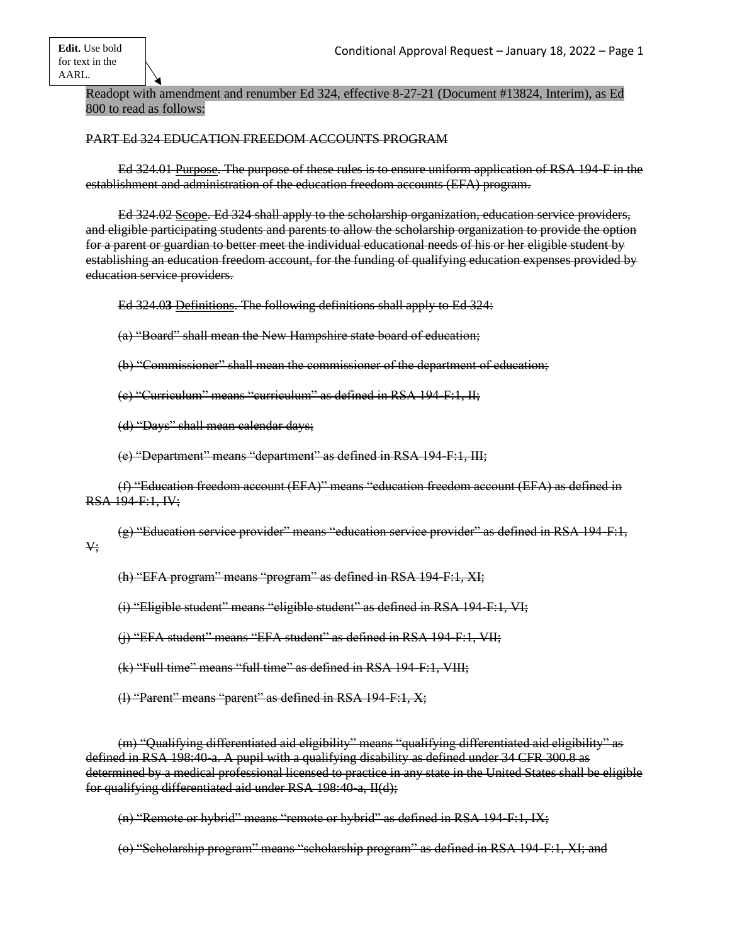Readopt with amendment and renumber Ed 324, effective 8-27-21 (Document #13824, Interim), as Ed 800 to read as follows:

## PART Ed 324 EDUCATION FREEDOM ACCOUNTS PROGRAM

Ed 324.01 Purpose. The purpose of these rules is to ensure uniform application of RSA 194-F in the establishment and administration of the education freedom accounts (EFA) program.

Ed 324.02 Scope. Ed 324 shall apply to the scholarship organization, education service providers, and eligible participating students and parents to allow the scholarship organization to provide the option for a parent or guardian to better meet the individual educational needs of his or her eligible student by establishing an education freedom account, for the funding of qualifying education expenses provided by education service providers.

Ed 324.0**3** Definitions. The following definitions shall apply to Ed 324:

(a) "Board" shall mean the New Hampshire state board of education;

(b) "Commissioner" shall mean the commissioner of the department of education;

(c) "Curriculum" means "curriculum" as defined in RSA 194-F:1, II;

(d) "Days" shall mean calendar days;

(e) "Department" means "department" as defined in RSA 194-F:1, III;

(f) "Education freedom account (EFA)" means "education freedom account (EFA) as defined in RSA 194-F:1, IV;

(g) "Education service provider" means "education service provider" as defined in RSA 194-F:1, V;

(h) "EFA program" means "program" as defined in RSA 194-F:1, XI;

(i) "Eligible student" means "eligible student" as defined in RSA 194-F:1, VI;

(j) "EFA student" means "EFA student" as defined in RSA 194-F:1, VII;

(k) "Full time" means "full time" as defined in RSA 194-F:1, VIII;

(l) "Parent" means "parent" as defined in RSA 194-F:1, X;

(m) "Qualifying differentiated aid eligibility" means "qualifying differentiated aid eligibility" as defined in RSA 198:40-a. A pupil with a qualifying disability as defined under 34 CFR 300.8 as determined by a medical professional licensed to practice in any state in the United States shall be eligible for qualifying differentiated aid under RSA 198:40-a, II(d);

(n) "Remote or hybrid" means "remote or hybrid" as defined in RSA 194-F:1, IX;

(o) "Scholarship program" means "scholarship program" as defined in RSA 194-F:1, XI; and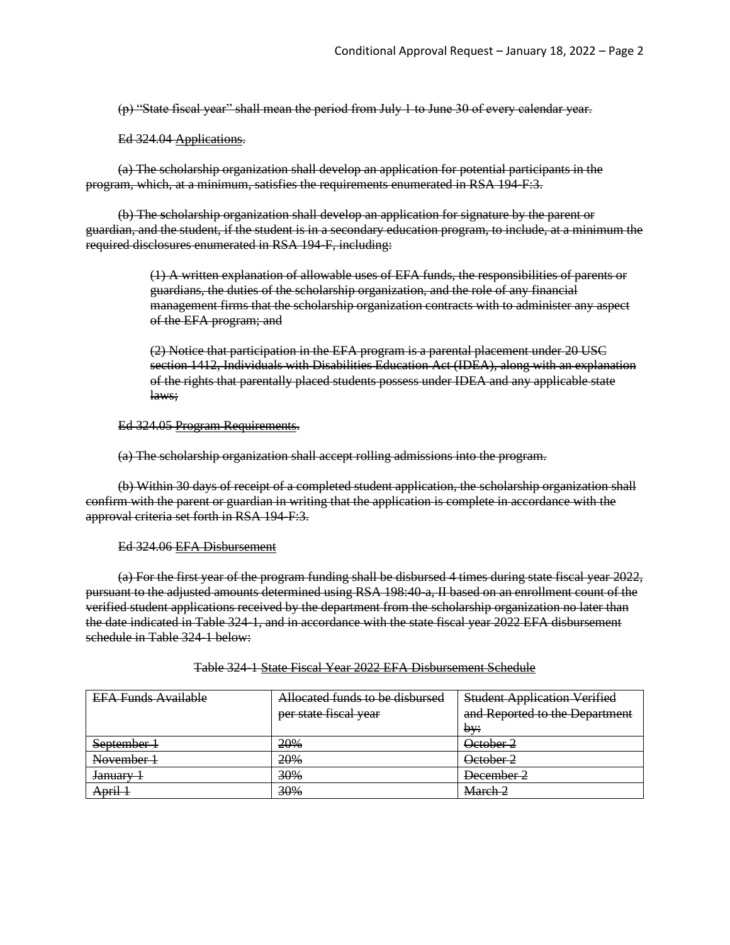(p) "State fiscal year" shall mean the period from July 1 to June 30 of every calendar year.

Ed 324.04 Applications.

(a) The scholarship organization shall develop an application for potential participants in the program, which, at a minimum, satisfies the requirements enumerated in RSA 194-F:3.

(b) The **s**cholarship organization shall develop an application for signature by the parent or guardian, and the student, if the student is in a secondary education program, to include, at a minimum the required disclosures enumerated in RSA 194-F, including:

> (1) A written explanation of allowable uses of EFA funds, the responsibilities of parents or guardians, the duties of the scholarship organization, and the role of any financial management firms that the scholarship organization contracts with to administer any aspect of the EFA program; and

(2) Notice that participation in the EFA program is a parental placement under 20 USC section 1412, Individuals with Disabilities Education Act (IDEA), along with an explanation of the rights that parentally placed students possess under IDEA and any applicable state laws;

Ed 324.05 Program Requirements.

(a) The scholarship organization shall accept rolling admissions into the program.

(b) Within 30 days of receipt of a completed student application, the scholarship organization shall confirm with the parent or guardian in writing that the application is complete in accordance with the approval criteria set forth in RSA 194-F:3.

Ed 324.06 EFA Disbursement

(a) For the first year of the program funding shall be disbursed 4 times during state fiscal year 2022, pursuant to the adjusted amounts determined using RSA 198:40-a, II based on an enrollment count of the verified student applications received by the department from the scholarship organization no later than the date indicated in Table 324-1, and in accordance with the state fiscal year 2022 EFA disbursement schedule in Table 324-1 below:

| <b>EFA Funds Available</b> | Allocated funds to be disbursed | <b>Student Application Verified</b> |
|----------------------------|---------------------------------|-------------------------------------|
|                            | per state fiscal year           | and Reported to the Department      |
|                            |                                 | bv:                                 |
| September 1                | 20%                             | October 2                           |
| November 1                 | 20%                             | October 2                           |
| <del>January</del>         | 30%                             | December 2                          |
| April 1                    | 30%                             | March 2                             |

Table 324-1 State Fiscal Year 2022 EFA Disbursement Schedule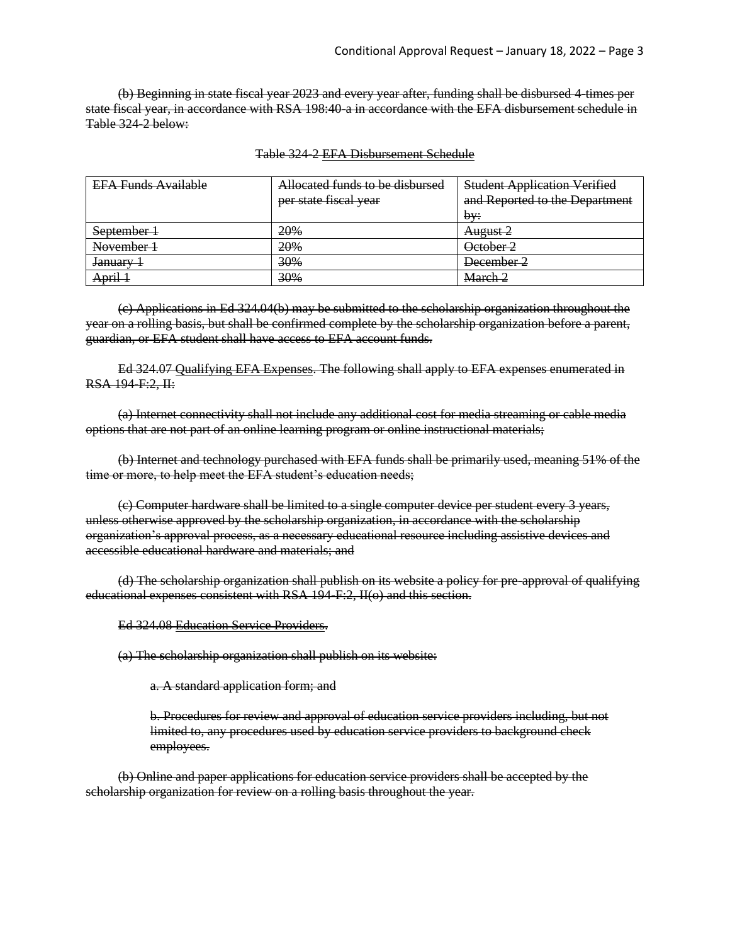(b) Beginning in state fiscal year 2023 and every year after, funding shall be disbursed 4-times per state fiscal year, in accordance with RSA 198:40-a in accordance with the EFA disbursement schedule in Table 324-2 below:

| <b>EFA Funds Available</b> | Allocated funds to be disbursed | <b>Student Application Verified</b> |
|----------------------------|---------------------------------|-------------------------------------|
|                            | per state fiscal year           | and Reported to the Department      |
|                            |                                 | bv:                                 |
| September 1                | 20%                             | August 2                            |
| November 1                 | 20%                             | October 2                           |
| <del>January</del>         | 30%                             | December 2                          |
| April 1                    | 30%                             | March 2                             |

#### Table 324-2 EFA Disbursement Schedule

(c) Applications in Ed 324.04(b) may be submitted to the scholarship organization throughout the year on a rolling basis, but shall be confirmed complete by the scholarship organization before a parent, guardian, or EFA student shall have access to EFA account funds.

Ed 324.07 Qualifying EFA Expenses. The following shall apply to EFA expenses enumerated in RSA 194-F:2, II:

(a) Internet connectivity shall not include any additional cost for media streaming or cable media options that are not part of an online learning program or online instructional materials;

(b) Internet and technology purchased with EFA funds shall be primarily used, meaning 51% of the time or more, to help meet the EFA student's education needs;

(c) Computer hardware shall be limited to a single computer device per student every 3 years, unless otherwise approved by the scholarship organization, in accordance with the scholarship organization's approval process, as a necessary educational resource including assistive devices and accessible educational hardware and materials; and

(d) The scholarship organization shall publish on its website a policy for pre-approval of qualifying educational expenses consistent with RSA 194-F:2, II(o) and this section.

Ed 324.08 Education Service Providers.

(a) The **s**cholarship organization shall publish on its website:

a. A standard application form; and

b. Procedures for review and approval of education service providers including, but not limited to, any procedures used by education service providers to background check employees.

(b) Online and paper applications for education service providers shall be accepted by the scholarship organization for review on a rolling basis throughout the year.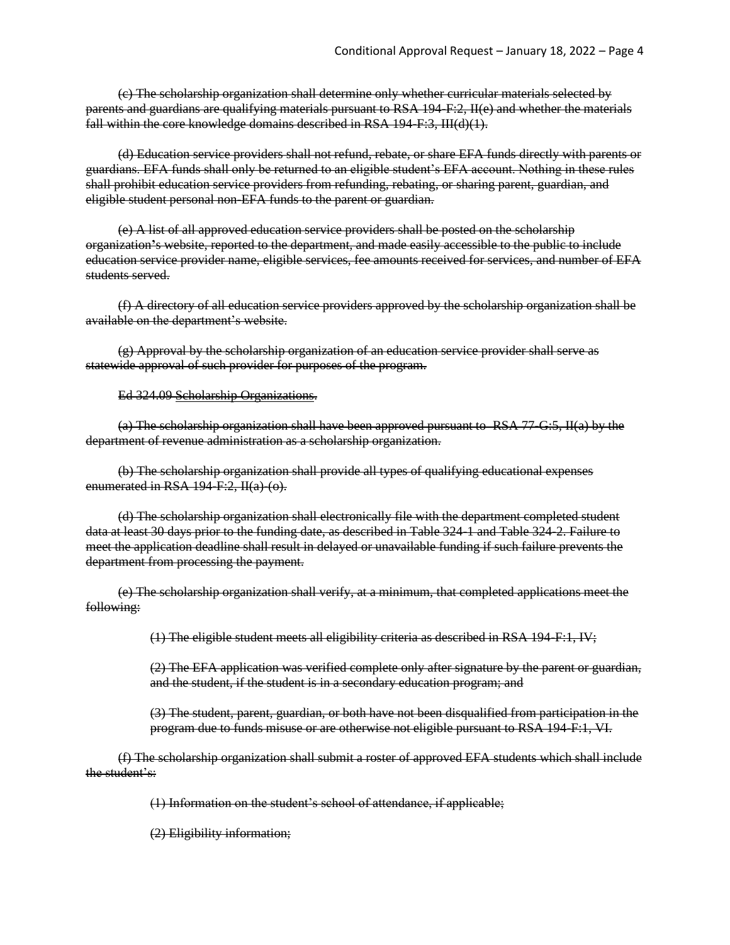(c) The scholarship organization shall determine only whether curricular materials selected by parents and guardians are qualifying materials pursuant to RSA 194-F:2, II(e) and whether the materials fall within the core knowledge domains described in RSA 194-F:3, III(d)(1).

(d) Education service providers shall not refund, rebate, or share EFA funds directly with parents or guardians. EFA funds shall only be returned to an eligible student's EFA account. Nothing in these rules shall prohibit education service providers from refunding, rebating, or sharing parent, guardian, and eligible student personal non-EFA funds to the parent or guardian.

(e) A list of all approved education service providers shall be posted on the scholarship organization**'**s website, reported to the department, and made easily accessible to the public to include education service provider name, eligible services, fee amounts received for services, and number of EFA students served.

(f) A directory of all education service providers approved by the scholarship organization shall be available on the department's website.

(g) Approval by the scholarship organization of an education service provider shall serve as statewide approval of such provider for purposes of the program.

#### Ed 324.09 Scholarship Organizations.

(a) The scholarship organization shall have been approved pursuant to RSA 77-G:5, II(a) by the department of revenue administration as a scholarship organization.

(b) The scholarship organization shall provide all types of qualifying educational expenses enumerated in RSA 194-F:2, II(a)-(o).

(d) The scholarship organization shall electronically file with the department completed student data at least 30 days prior to the funding date, as described in Table 324-1 and Table 324-2. Failure to meet the application deadline shall result in delayed or unavailable funding if such failure prevents the department from processing the payment.

(e) The scholarship organization shall verify, at a minimum, that completed applications meet the following:

(1) The eligible student meets all eligibility criteria as described in RSA 194-F:1, IV;

(2) The EFA application was verified complete only after signature by the parent or guardian, and the student, if the student is in a secondary education program; and

(3) The student, parent, guardian, or both have not been disqualified from participation in the program due to funds misuse or are otherwise not eligible pursuant to RSA 194-F:1, VI.

(f) The scholarship organization shall submit a roster of approved EFA students which shall include the student's:

(1) Information on the student's school of attendance, if applicable;

(2) Eligibility information;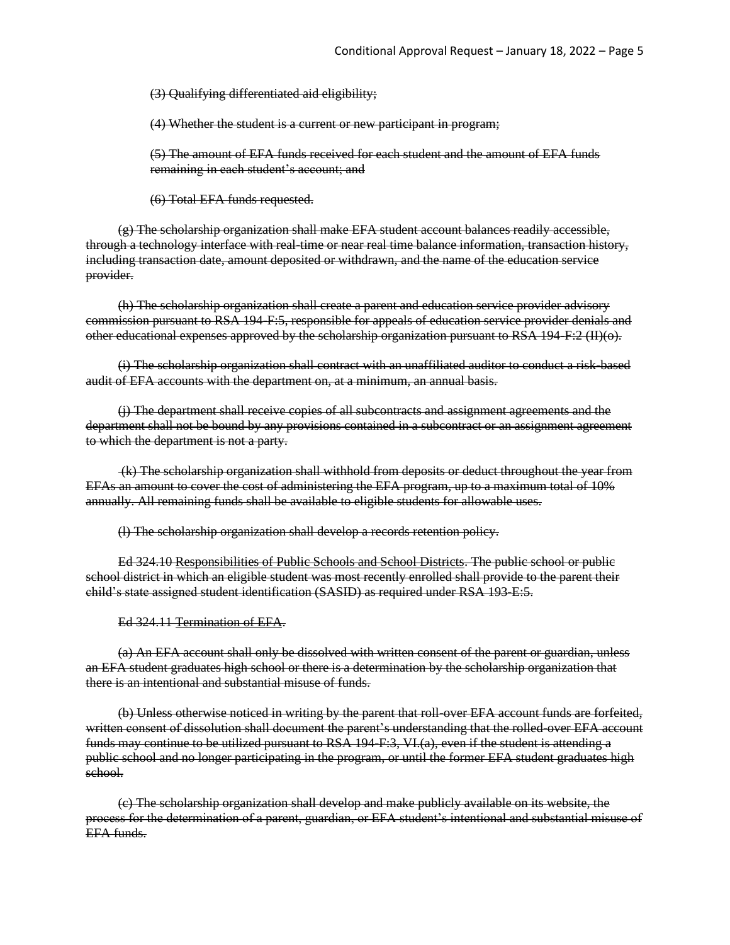(3) Qualifying differentiated aid eligibility;

(4) Whether the student is a current or new participant in program;

(5) The amount of EFA funds received for each student and the amount of EFA funds remaining in each student's account; and

(6) Total EFA funds requested.

(g) The scholarship organization shall make EFA student account balances readily accessible, through a technology interface with real-time or near real time balance information, transaction history, including transaction date, amount deposited or withdrawn, and the name of the education service provider.

(h) The scholarship organization shall create a parent and education service provider advisory commission pursuant to RSA 194-F:5, responsible for appeals of education service provider denials and other educational expenses approved by the scholarship organization pursuant to RSA 194-F:2 (II)(o).

(i) The scholarship organization shall contract with an unaffiliated auditor to conduct a risk-based audit of EFA accounts with the department on, at a minimum, an annual basis.

(j) The department shall receive copies of all subcontracts and assignment agreements and the department shall not be bound by any provisions contained in a subcontract or an assignment agreement to which the department is not a party.

(k) The scholarship organization shall withhold from deposits or deduct throughout the year from EFAs an amount to cover the cost of administering the EFA program, up to a maximum total of 10% annually. All remaining funds shall be available to eligible students for allowable uses.

(l) The scholarship organization shall develop a records retention policy.

Ed 324.10 Responsibilities of Public Schools and School Districts. The public school or public school district in which an eligible student was most recently enrolled shall provide to the parent their child's state assigned student identification (SASID) as required under RSA 193-E:5.

Ed 324.11 Termination of EFA.

(a) An EFA account shall only be dissolved with written consent of the parent or guardian, unless an EFA student graduates high school or there is a determination by the scholarship organization that there is an intentional and substantial misuse of funds.

(b) Unless otherwise noticed in writing by the parent that roll-over EFA account funds are forfeited, written consent of dissolution shall document the parent's understanding that the rolled-over EFA account funds may continue to be utilized pursuant to RSA 194-F:3, VI.(a), even if the student is attending a public school and no longer participating in the program, or until the former EFA student graduates high school.

(c) The scholarship organization shall develop and make publicly available on its website, the process for the determination of a parent, guardian, or EFA student's intentional and substantial misuse of EFA funds.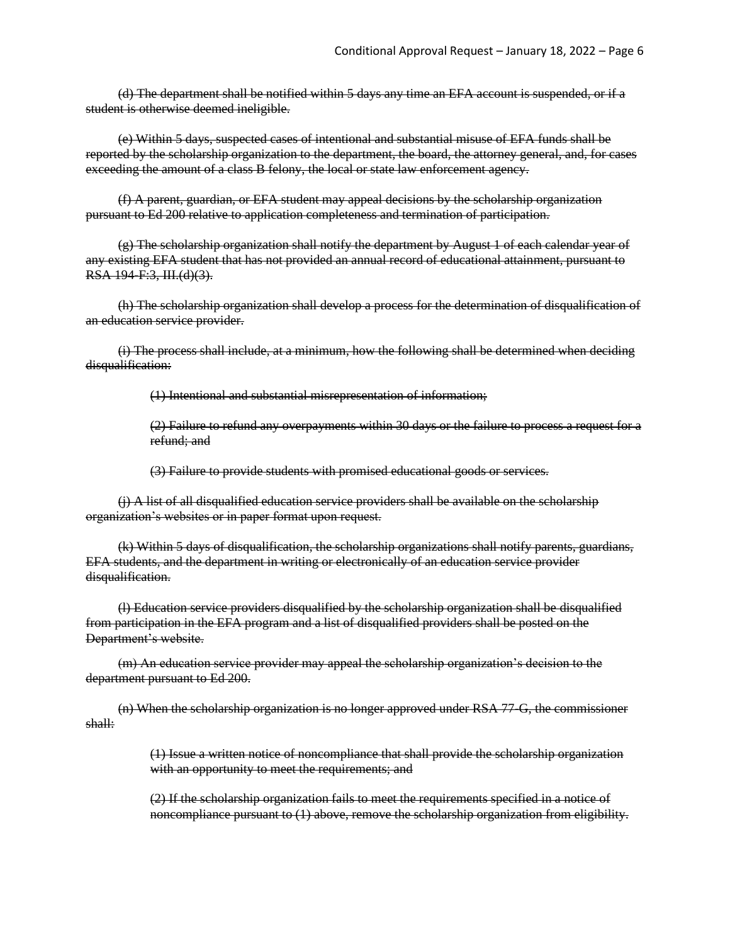(d) The department shall be notified within 5 days any time an EFA account is suspended, or if a student is otherwise deemed ineligible.

(e) Within 5 days, suspected cases of intentional and substantial misuse of EFA funds shall be reported by the scholarship organization to the department, the board, the attorney general, and, for cases exceeding the amount of a class B felony, the local or state law enforcement agency.

(f) A parent, guardian, or EFA student may appeal decisions by the scholarship organization pursuant to Ed 200 relative to application completeness and termination of participation.

(g) The scholarship organization shall notify the department by August 1 of each calendar year of any existing EFA student that has not provided an annual record of educational attainment, pursuant to RSA 194-F:3, III.(d)(3).

(h) The scholarship organization shall develop a process for the determination of disqualification of an education service provider.

(i) The process shall include, at a minimum, how the following shall be determined when deciding disqualification:

(1) Intentional and substantial misrepresentation of information;

(2) Failure to refund any overpayments within 30 days or the failure to process a request for a refund; and

(3) Failure to provide students with promised educational goods or services.

(j) A list of all disqualified education service providers shall be available on the scholarship organization's websites or in paper format upon request.

(k) Within 5 days of disqualification, the scholarship organizations shall notify parents, guardians, EFA students, and the department in writing or electronically of an education service provider disqualification.

(l) Education service providers disqualified by the scholarship organization shall be disqualified from participation in the EFA program and a list of disqualified providers shall be posted on the Department's website.

(m) An education service provider may appeal the scholarship organization's decision to the department pursuant to Ed 200.

(n) When the scholarship organization is no longer approved under RSA 77-G, the commissioner shall:

> (1) Issue a written notice of noncompliance that shall provide the scholarship organization with an opportunity to meet the requirements; and

> (2) If the scholarship organization fails to meet the requirements specified in a notice of noncompliance pursuant to (1) above, remove the scholarship organization from eligibility.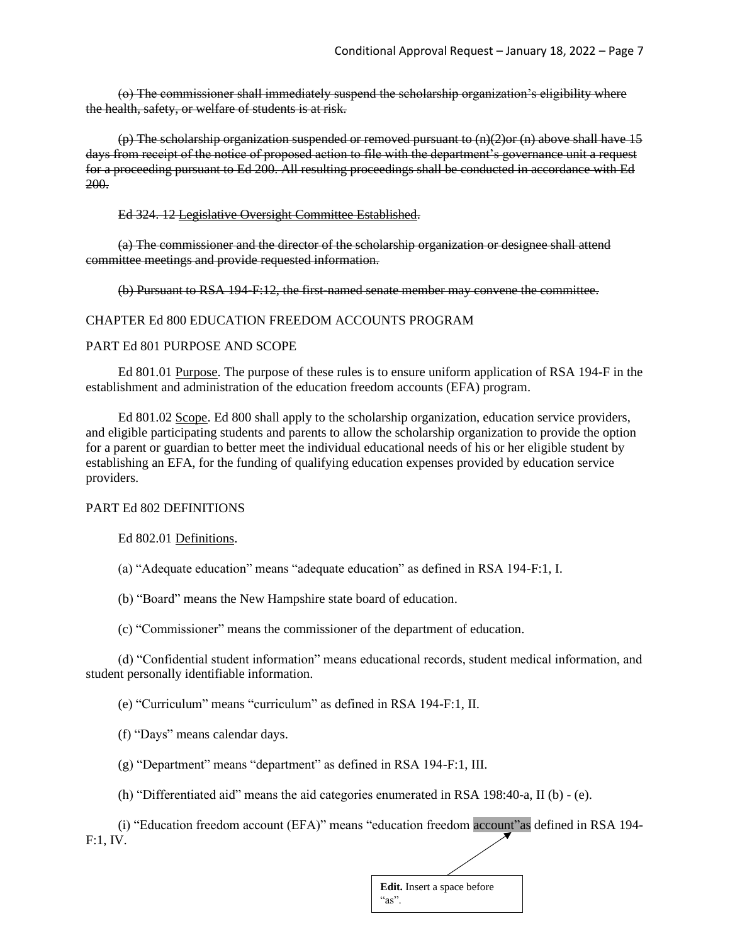(o) The commissioner shall immediately suspend the scholarship organization's eligibility where the health, safety, or welfare of students is at risk.

(p) The scholarship organization suspended or removed pursuant to  $(n)(2)$ or  $(n)$  above shall have 15 days from receipt of the notice of proposed action to file with the department's governance unit a request for a proceeding pursuant to Ed 200. All resulting proceedings shall be conducted in accordance with Ed 200.

Ed 324. 12 Legislative Oversight Committee Established.

(a) The commissioner and the director of the scholarship organization or designee shall attend committee meetings and provide requested information.

(b) Pursuant to RSA 194-F:12, the first-named senate member may convene the committee.

#### CHAPTER Ed 800 EDUCATION FREEDOM ACCOUNTS PROGRAM

#### PART Ed 801 PURPOSE AND SCOPE

Ed 801.01 Purpose. The purpose of these rules is to ensure uniform application of RSA 194-F in the establishment and administration of the education freedom accounts (EFA) program.

Ed 801.02 Scope. Ed 800 shall apply to the scholarship organization, education service providers, and eligible participating students and parents to allow the scholarship organization to provide the option for a parent or guardian to better meet the individual educational needs of his or her eligible student by establishing an EFA, for the funding of qualifying education expenses provided by education service providers.

### PART Ed 802 DEFINITIONS

Ed 802.01 Definitions.

(a) "Adequate education" means "adequate education" as defined in RSA 194-F:1, I.

(b) "Board" means the New Hampshire state board of education.

(c) "Commissioner" means the commissioner of the department of education.

(d) "Confidential student information" means educational records, student medical information, and student personally identifiable information.

(e) "Curriculum" means "curriculum" as defined in RSA 194-F:1, II.

(f) "Days" means calendar days.

(g) "Department" means "department" as defined in RSA 194-F:1, III.

(h) "Differentiated aid" means the aid categories enumerated in RSA 198:40-a, II (b) - (e).

(i) "Education freedom account (EFA)" means "education freedom account"as defined in RSA 194- F:1, IV.

| <b>Edit.</b> Insert a space before |  |
|------------------------------------|--|
| " $as$ ".                          |  |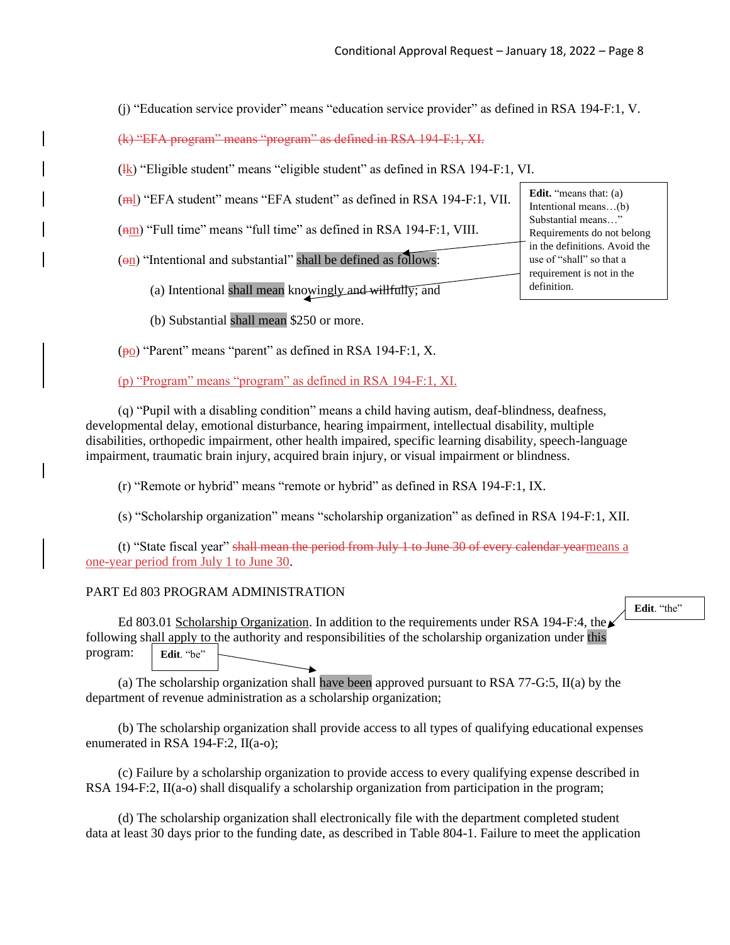(j) "Education service provider" means "education service provider" as defined in RSA 194-F:1, V.

(k) "EFA program" means "program" as defined in RSA 194-F:1, XI.

 $(\frac{1}{k})$  "Eligible student" means "eligible student" as defined in RSA 194-F:1, VI.

(ml) "EFA student" means "EFA student" as defined in RSA 194-F:1, VII.

( $\overline{nm}$ ) "Full time" means "full time" as defined in RSA 194-F:1, VIII.

 $(\Theta n)$  "Intentional and substantial" shall be defined as follows:

(a) Intentional shall mean knowingly and willfully; and

(b) Substantial shall mean \$250 or more.

(po) "Parent" means "parent" as defined in RSA 194-F:1, X.

(p) "Program" means "program" as defined in RSA 194-F:1, XI.

(q) "Pupil with a disabling condition" means a child having autism, deaf-blindness, deafness, developmental delay, emotional disturbance, hearing impairment, intellectual disability, multiple disabilities, orthopedic impairment, other health impaired, specific learning disability, speech-language impairment, traumatic brain injury, acquired brain injury, or visual impairment or blindness.

(r) "Remote or hybrid" means "remote or hybrid" as defined in RSA 194-F:1, IX.

(s) "Scholarship organization" means "scholarship organization" as defined in RSA 194-F:1, XII.

(t) "State fiscal year" shall mean the period from July 1 to June 30 of every calendar yearmeans a one-year period from July 1 to June 30.

## PART Ed 803 PROGRAM ADMINISTRATION

Ed 803.01 Scholarship Organization. In addition to the requirements under RSA 194-F:4, the  $\swarrow$ following shall apply to the authority and responsibilities of the scholarship organization under this program: **Edit.** "be"

(a) The scholarship organization shall have been approved pursuant to RSA 77-G:5, II(a) by the department of revenue administration as a scholarship organization;

(b) The scholarship organization shall provide access to all types of qualifying educational expenses enumerated in RSA 194-F:2, II(a-o);

(c) Failure by a scholarship organization to provide access to every qualifying expense described in RSA 194-F:2, II(a-o) shall disqualify a scholarship organization from participation in the program;

(d) The scholarship organization shall electronically file with the department completed student data at least 30 days prior to the funding date, as described in Table 804-1. Failure to meet the application

**Edit.** "means that: (a) Intentional means…(b) Substantial means…" Requirements do not belong in the definitions. Avoid the use of "shall" so that a requirement is not in the definition.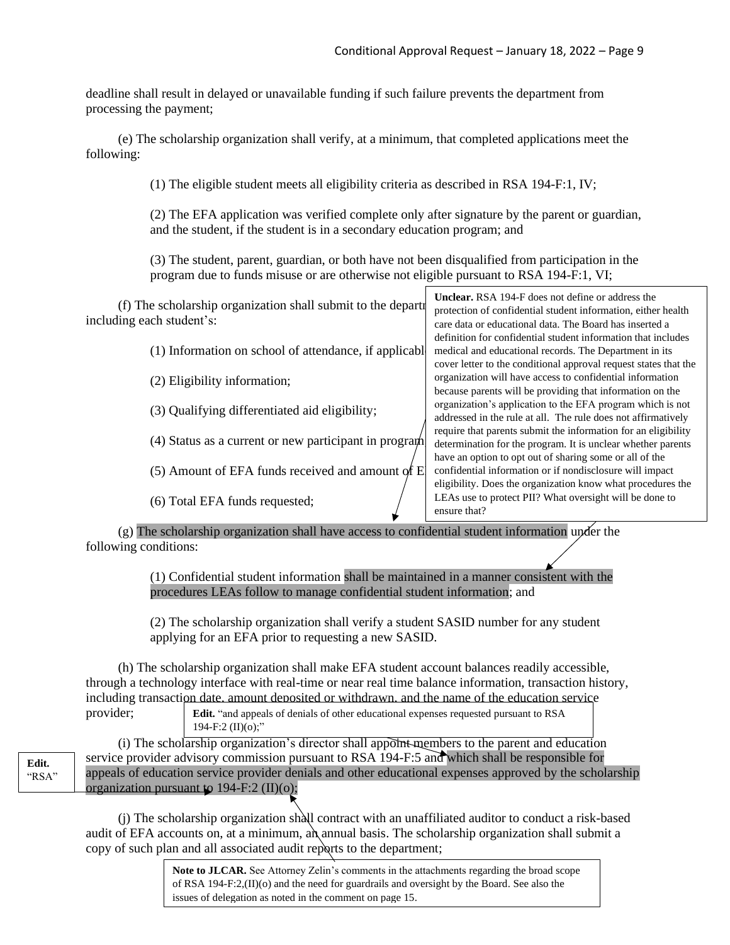deadline shall result in delayed or unavailable funding if such failure prevents the department from processing the payment;

(e) The scholarship organization shall verify, at a minimum, that completed applications meet the following:

(1) The eligible student meets all eligibility criteria as described in RSA 194-F:1, IV;

(2) The EFA application was verified complete only after signature by the parent or guardian, and the student, if the student is in a secondary education program; and

(3) The student, parent, guardian, or both have not been disqualified from participation in the program due to funds misuse or are otherwise not eligible pursuant to RSA 194-F:1, VI;

|                                                              | <b>Unclear.</b> RSA 194-F does not define or address the         |
|--------------------------------------------------------------|------------------------------------------------------------------|
| (f) The scholarship organization shall submit to the departi | protection of confidential student information, either health    |
| including each student's:                                    | care data or educational data. The Board has inserted a          |
|                                                              | definition for confidential student information that includes    |
| (1) Information on school of attendance, if applicabl        | medical and educational records. The Department in its           |
|                                                              | cover letter to the conditional approval request states that the |
| (2) Eligibility information;                                 | organization will have access to confidential information        |
|                                                              | because parents will be providing that information on the        |
| (3) Qualifying differentiated aid eligibility;               | organization's application to the EFA program which is not       |
|                                                              | addressed in the rule at all. The rule does not affirmatively    |
|                                                              | require that parents submit the information for an eligibility   |
| (4) Status as a current or new participant in program        | determination for the program. It is unclear whether parents     |
|                                                              | have an option to opt out of sharing some or all of the          |
| (5) Amount of EFA funds received and amount of E             | confidential information or if nondisclosure will impact         |
|                                                              | eligibility. Does the organization know what procedures the      |
| (6) Total EFA funds requested;                               | LEAs use to protect PII? What oversight will be done to          |
|                                                              | ensure that?                                                     |

(g) The scholarship organization shall have access to confidential student information under the following conditions:

> (1) Confidential student information shall be maintained in a manner consistent with the procedures LEAs follow to manage confidential student information; and

(2) The scholarship organization shall verify a student SASID number for any student applying for an EFA prior to requesting a new SASID.

(h) The scholarship organization shall make EFA student account balances readily accessible, through a technology interface with real-time or near real time balance information, transaction history, including transaction date, amount deposited or withdrawn, and the name of the education service provider; **Edit.** "and appeals of denials of other educational expenses requested pursuant to RSA 194-F:2  $(II)(o)$ ;"

(i) The scholarship organization's director shall appoint members to the parent and education service provider advisory commission pursuant to RSA 194-F:5 and which shall be responsible for appeals of education service provider denials and other educational expenses approved by the scholarship organization pursuant to 194-F:2  $(\text{II})(\text{o})$ ;

(j) The scholarship organization shall contract with an unaffiliated auditor to conduct a risk-based audit of EFA accounts on, at a minimum, an annual basis. The scholarship organization shall submit a copy of such plan and all associated audit reports to the department;

> **Note to JLCAR.** See Attorney Zelin's comments in the attachments regarding the broad scope of RSA 194-F:2,(II)(o) and the need for guardrails and oversight by the Board. See also the issues of delegation as noted in the comment on page 15.

**Edit.**  "RSA"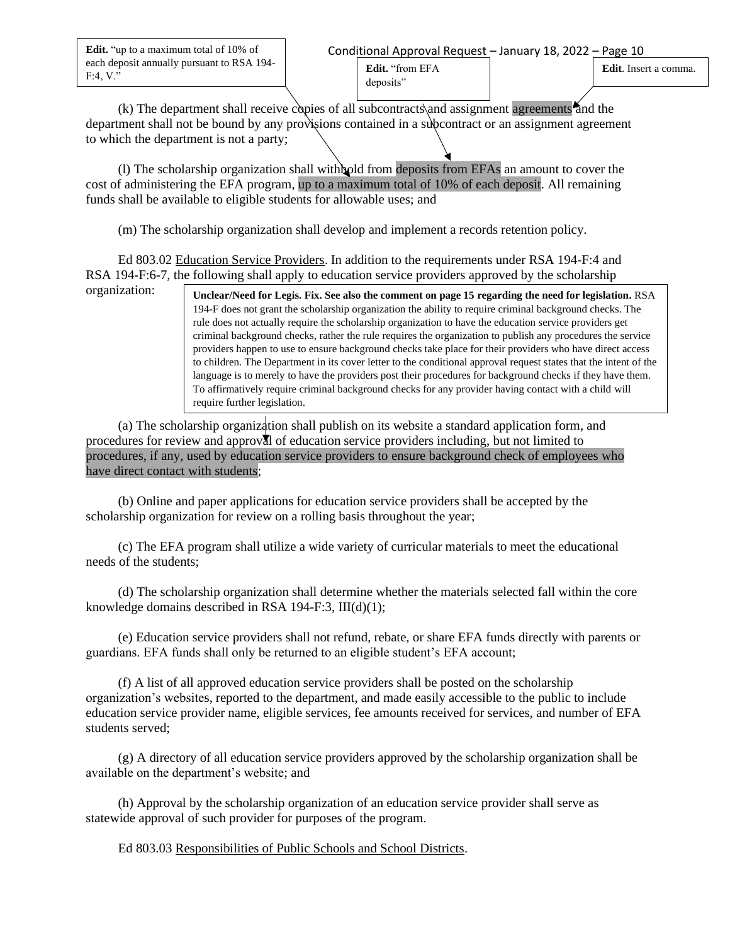**Edit.** "up to a maximum total of 10% of each deposit annually pursuant to RSA 194- F:4, V."

organization:

**Edit**. Insert a comma.

(k) The department shall receive copies of all subcontracts and assignment agreements and the department shall not be bound by any provisions contained in a subcontract or an assignment agreement to which the department is not a party;

**Edit.** "from EFA deposits"

(l) The scholarship organization shall withhold from deposits from EFAs an amount to cover the cost of administering the EFA program, up to a maximum total of 10% of each deposit. All remaining funds shall be available to eligible students for allowable uses; and

(m) The scholarship organization shall develop and implement a records retention policy.

Ed 803.02 Education Service Providers. In addition to the requirements under RSA 194-F:4 and RSA 194-F:6-7, the following shall apply to education service providers approved by the scholarship

> **Unclear/Need for Legis. Fix. See also the comment on page 15 regarding the need for legislation.** RSA 194-F does not grant the scholarship organization the ability to require criminal background checks. The rule does not actually require the scholarship organization to have the education service providers get criminal background checks, rather the rule requires the organization to publish any procedures the service providers happen to use to ensure background checks take place for their providers who have direct access to children. The Department in its cover letter to the conditional approval request states that the intent of the language is to merely to have the providers post their procedures for background checks if they have them. To affirmatively require criminal background checks for any provider having contact with a child will require further legislation.

(a) The scholarship organization shall publish on its website a standard application form, and procedures for review and approval of education service providers including, but not limited to procedures, if any, used by education service providers to ensure background check of employees who have direct contact with students;

(b) Online and paper applications for education service providers shall be accepted by the scholarship organization for review on a rolling basis throughout the year;

(c) The EFA program shall utilize a wide variety of curricular materials to meet the educational needs of the students;

(d) The scholarship organization shall determine whether the materials selected fall within the core knowledge domains described in RSA 194-F:3,  $III(d)(1)$ ;

(e) Education service providers shall not refund, rebate, or share EFA funds directly with parents or guardians. EFA funds shall only be returned to an eligible student's EFA account;

(f) A list of all approved education service providers shall be posted on the scholarship organization's websites, reported to the department, and made easily accessible to the public to include education service provider name, eligible services, fee amounts received for services, and number of EFA students served;

(g) A directory of all education service providers approved by the scholarship organization shall be available on the department's website; and

(h) Approval by the scholarship organization of an education service provider shall serve as statewide approval of such provider for purposes of the program.

Ed 803.03 Responsibilities of Public Schools and School Districts.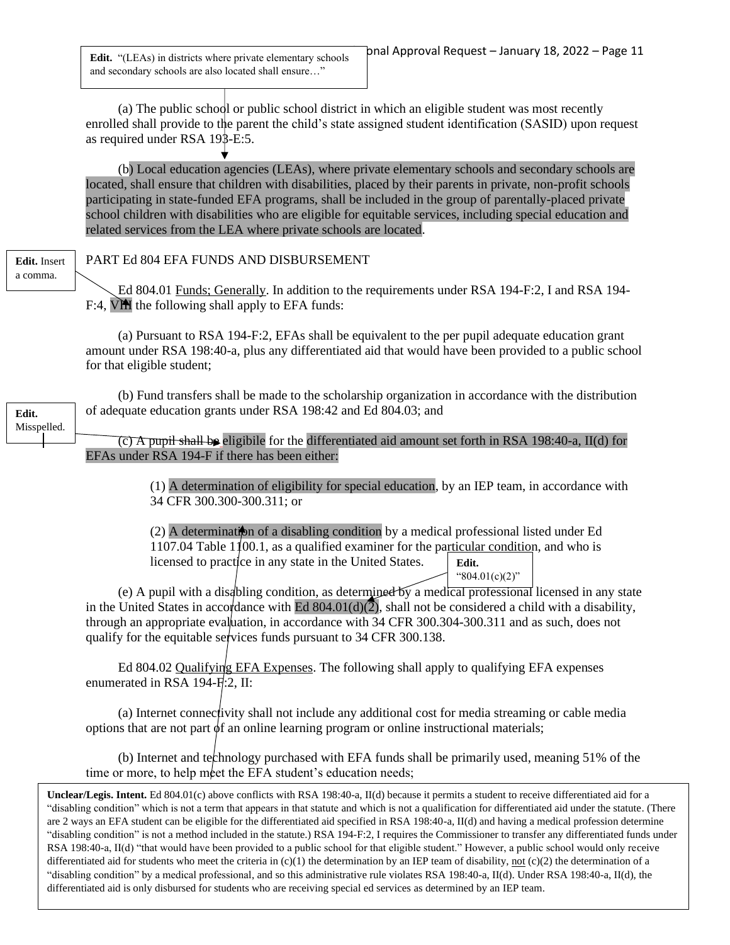**Edit.** "(LEAs) in districts where private elementary schools and secondary schools are also located shall ensure…"

(a) The public school or public school district in which an eligible student was most recently enrolled shall provide to the parent the child's state assigned student identification (SASID) upon request as required under RSA 193-E:5.

(b) Local education agencies (LEAs), where private elementary schools and secondary schools are located, shall ensure that children with disabilities, placed by their parents in private, non-profit schools participating in state-funded EFA programs, shall be included in the group of parentally-placed private school children with disabilities who are eligible for equitable services, including special education and related services from the LEA where private schools are located.

#### **Edit.** Insert a comma.

**Edit.** Misspelled.

## PART Ed 804 EFA FUNDS AND DISBURSEMENT

Ed 804.01 Funds; Generally. In addition to the requirements under RSA 194-F:2, I and RSA 194- F:4, VIII the following shall apply to EFA funds:

(a) Pursuant to RSA 194-F:2, EFAs shall be equivalent to the per pupil adequate education grant amount under RSA 198:40-a, plus any differentiated aid that would have been provided to a public school for that eligible student;

(b) Fund transfers shall be made to the scholarship organization in accordance with the distribution of adequate education grants under RSA 198:42 and Ed 804.03; and

 $\overline{(c)}$  A pupil shall be eligibile for the differentiated aid amount set forth in RSA 198:40-a, II(d) for EFAs under RSA 194-F if there has been either:

> (1) A determination of eligibility for special education, by an IEP team, in accordance with 34 CFR 300.300-300.311; or

 $(2)$  A determination of a disabling condition by a medical professional listed under Ed 1107.04 Table 1100.1, as a qualified examiner for the particular condition, and who is licensed to practice in any state in the United States. **Edit.** " $804.01(c)(2)$ "

(e) A pupil with a disabling condition, as determined by a medical professional licensed in any state in the United States in accordance with Ed  $804.01(d)(\overline{2})$ , shall not be considered a child with a disability, through an appropriate evaluation, in accordance with 34 CFR 300.304-300.311 and as such, does not qualify for the equitable services funds pursuant to 34 CFR 300.138.

Ed 804.02 Qualifying EFA Expenses. The following shall apply to qualifying EFA expenses enumerated in RSA 194-F:2, II:

(a) Internet connectivity shall not include any additional cost for media streaming or cable media options that are not part  $\phi$ f an online learning program or online instructional materials;

(b) Internet and technology purchased with EFA funds shall be primarily used, meaning 51% of the time or more, to help meet the EFA student's education needs;

**Unclear/Legis. Intent.** Ed 804.01(c) above conflicts with RSA 198:40-a, II(d) because it permits a student to receive differentiated aid for a "disabling condition" which is not a term that appears in that statute and which is not a qualification for differentiated aid under the statute. (There are 2 ways an EFA student can be eligible for the differentiated aid specified in RSA 198:40-a, II(d) and having a medical profession determine "disabling condition" is not a method included in the statute.) RSA 194-F:2, I requires the Commissioner to transfer any differentiated funds under RSA 198:40-a, II(d) "that would have been provided to a public school for that eligible student." However, a public school would only receive differentiated aid for students who meet the criteria in  $(c)(1)$  the determination by an IEP team of disability, not  $(c)(2)$  the determination of a "disabling condition" by a medical professional, and so this administrative rule violates RSA 198:40-a, II(d). Under RSA 198:40-a, II(d), the differentiated aid is only disbursed for students who are receiving special ed services as determined by an IEP team.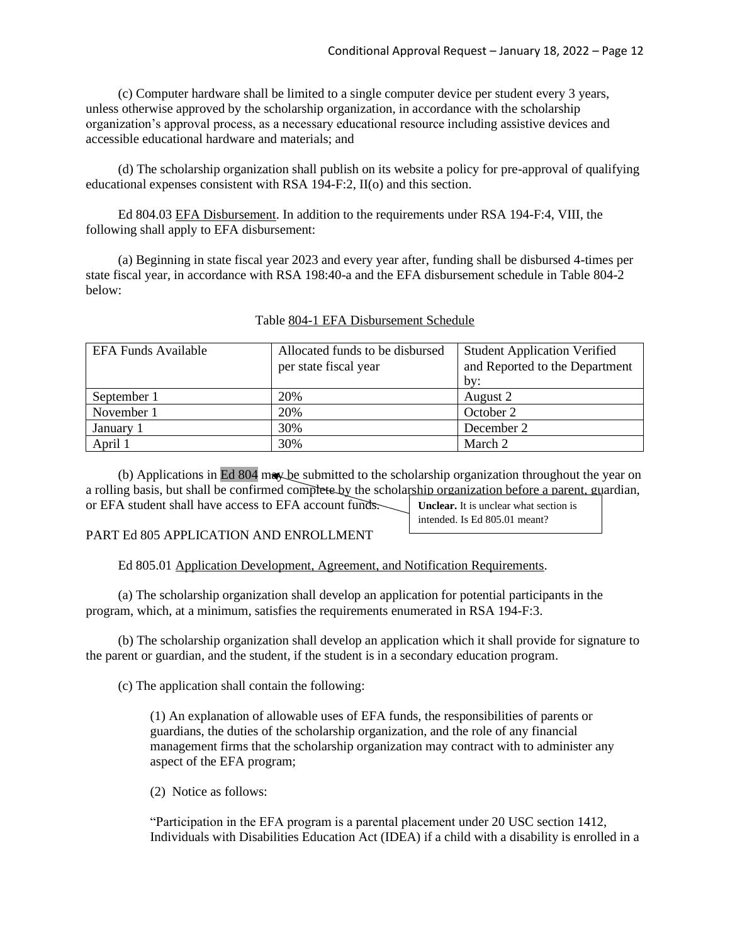intended. Is Ed 805.01 meant?

(c) Computer hardware shall be limited to a single computer device per student every 3 years, unless otherwise approved by the scholarship organization, in accordance with the scholarship organization's approval process, as a necessary educational resource including assistive devices and accessible educational hardware and materials; and

(d) The scholarship organization shall publish on its website a policy for pre-approval of qualifying educational expenses consistent with RSA 194-F:2, II(o) and this section.

Ed 804.03 EFA Disbursement. In addition to the requirements under RSA 194-F:4, VIII, the following shall apply to EFA disbursement:

(a) Beginning in state fiscal year 2023 and every year after, funding shall be disbursed 4-times per state fiscal year, in accordance with RSA 198:40-a and the EFA disbursement schedule in Table 804-2 below:

| <b>EFA Funds Available</b> | Allocated funds to be disbursed | <b>Student Application Verified</b> |
|----------------------------|---------------------------------|-------------------------------------|
|                            | per state fiscal year           | and Reported to the Department      |
|                            |                                 | by:                                 |
| September 1                | 20%                             | August 2                            |
| November 1                 | 20%                             | October 2                           |
| January 1                  | 30%                             | December 2                          |
| April 1                    | 30%                             | March 2                             |

## Table 804-1 EFA Disbursement Schedule

(b) Applications in Ed 804 may be submitted to the scholarship organization throughout the year on a rolling basis, but shall be confirmed complete by the scholarship organization before a parent, guardian, or EFA student shall have access to EFA account funds. **Unclear.** It is unclear what section is

PART Ed 805 APPLICATION AND ENROLLMENT

Ed 805.01 Application Development, Agreement, and Notification Requirements.

(a) The scholarship organization shall develop an application for potential participants in the program, which, at a minimum, satisfies the requirements enumerated in RSA 194-F:3.

(b) The scholarship organization shall develop an application which it shall provide for signature to the parent or guardian, and the student, if the student is in a secondary education program.

(c) The application shall contain the following:

(1) An explanation of allowable uses of EFA funds, the responsibilities of parents or guardians, the duties of the scholarship organization, and the role of any financial management firms that the scholarship organization may contract with to administer any aspect of the EFA program;

(2) Notice as follows:

"Participation in the EFA program is a parental placement under 20 USC section 1412, Individuals with Disabilities Education Act (IDEA) if a child with a disability is enrolled in a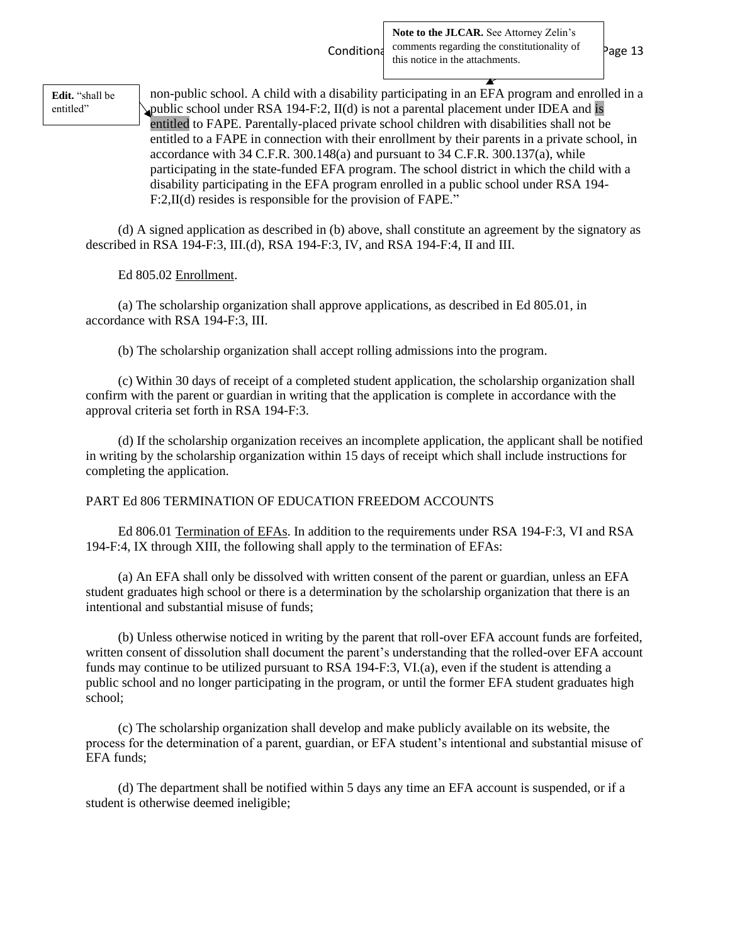**Edit.** "shall be entitled"

non-public school. A child with a disability participating in an EFA program and enrolled in a public school under RSA 194-F:2, II(d) is not a parental placement under IDEA and is entitled to FAPE. Parentally-placed private school children with disabilities shall not be entitled to a FAPE in connection with their enrollment by their parents in a private school, in accordance with 34 C.F.R. 300.148(a) and pursuant to 34 C.F.R. 300.137(a), while participating in the state-funded EFA program. The school district in which the child with a disability participating in the EFA program enrolled in a public school under RSA 194- F:2,II(d) resides is responsible for the provision of FAPE."

(d) A signed application as described in (b) above, shall constitute an agreement by the signatory as described in RSA 194-F:3, III.(d), RSA 194-F:3, IV, and RSA 194-F:4, II and III.

Ed 805.02 Enrollment.

(a) The scholarship organization shall approve applications, as described in Ed 805.01, in accordance with RSA 194-F:3, III.

(b) The scholarship organization shall accept rolling admissions into the program.

(c) Within 30 days of receipt of a completed student application, the scholarship organization shall confirm with the parent or guardian in writing that the application is complete in accordance with the approval criteria set forth in RSA 194-F:3.

(d) If the scholarship organization receives an incomplete application, the applicant shall be notified in writing by the scholarship organization within 15 days of receipt which shall include instructions for completing the application.

## PART Ed 806 TERMINATION OF EDUCATION FREEDOM ACCOUNTS

Ed 806.01 Termination of EFAs. In addition to the requirements under RSA 194-F:3, VI and RSA 194-F:4, IX through XIII, the following shall apply to the termination of EFAs:

(a) An EFA shall only be dissolved with written consent of the parent or guardian, unless an EFA student graduates high school or there is a determination by the scholarship organization that there is an intentional and substantial misuse of funds;

(b) Unless otherwise noticed in writing by the parent that roll-over EFA account funds are forfeited, written consent of dissolution shall document the parent's understanding that the rolled-over EFA account funds may continue to be utilized pursuant to RSA 194-F:3, VI.(a), even if the student is attending a public school and no longer participating in the program, or until the former EFA student graduates high school;

(c) The scholarship organization shall develop and make publicly available on its website, the process for the determination of a parent, guardian, or EFA student's intentional and substantial misuse of EFA funds;

(d) The department shall be notified within 5 days any time an EFA account is suspended, or if a student is otherwise deemed ineligible;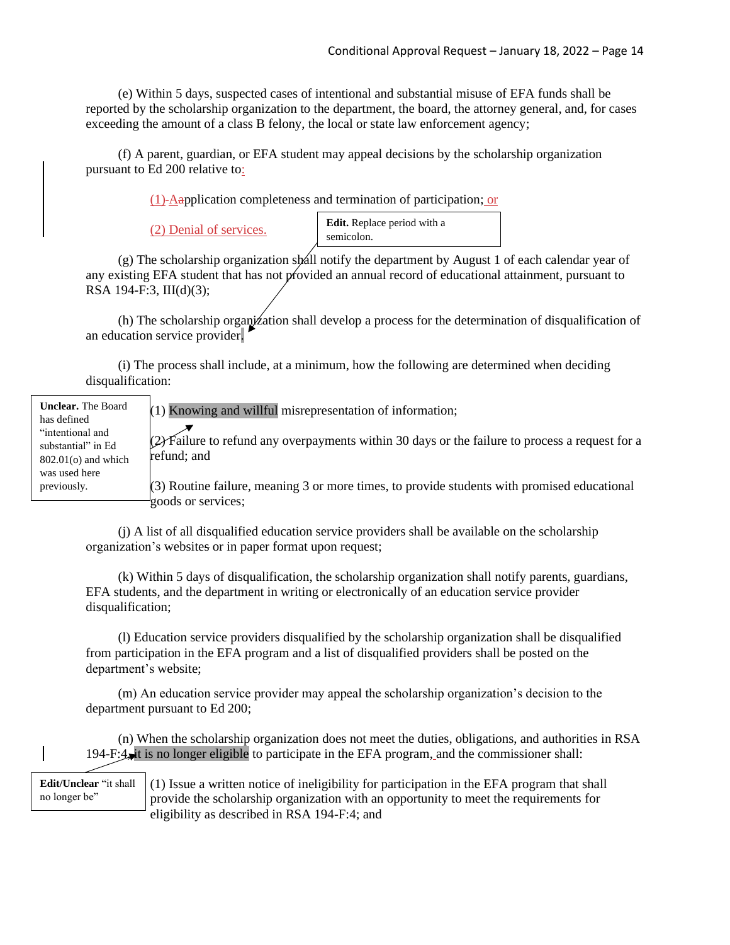(e) Within 5 days, suspected cases of intentional and substantial misuse of EFA funds shall be reported by the scholarship organization to the department, the board, the attorney general, and, for cases exceeding the amount of a class B felony, the local or state law enforcement agency;

(f) A parent, guardian, or EFA student may appeal decisions by the scholarship organization pursuant to Ed 200 relative to:

(1) Aapplication completeness and termination of participation; or

(2) Denial of services.

**Edit.** Replace period with a semicolon.

 $(g)$  The scholarship organization shall notify the department by August 1 of each calendar year of any existing EFA student that has not provided an annual record of educational attainment, pursuant to RSA 194-F:3, III(d)(3);

(h) The scholarship organization shall develop a process for the determination of disqualification of an education service provider.

(i) The process shall include, at a minimum, how the following are determined when deciding disqualification:

| <b>Unclear.</b> The Board<br>has defined | $(1)$ Knowing and willful misrepresentation of information;                                                       |
|------------------------------------------|-------------------------------------------------------------------------------------------------------------------|
| "intentional and<br>substantial" in Ed   | $(2)$ Failure to refund any overpayments within 30 days or the failure to process a request for a                 |
| $802.01$ (o) and which<br>was used here  | refund; and                                                                                                       |
| previously.                              | (3) Routine failure, meaning 3 or more times, to provide students with promised educational<br>goods or services; |

(j) A list of all disqualified education service providers shall be available on the scholarship organization's websites or in paper format upon request;

(k) Within 5 days of disqualification, the scholarship organization shall notify parents, guardians, EFA students, and the department in writing or electronically of an education service provider disqualification;

(l) Education service providers disqualified by the scholarship organization shall be disqualified from participation in the EFA program and a list of disqualified providers shall be posted on the department's website;

(m) An education service provider may appeal the scholarship organization's decision to the department pursuant to Ed 200;

(n) When the scholarship organization does not meet the duties, obligations, and authorities in RSA 194-F: $4$ , it is no longer eligible to participate in the EFA program, and the commissioner shall:

**Edit/Unclear** "it shall no longer be"

(1) Issue a written notice of ineligibility for participation in the EFA program that shall provide the scholarship organization with an opportunity to meet the requirements for eligibility as described in RSA 194-F:4; and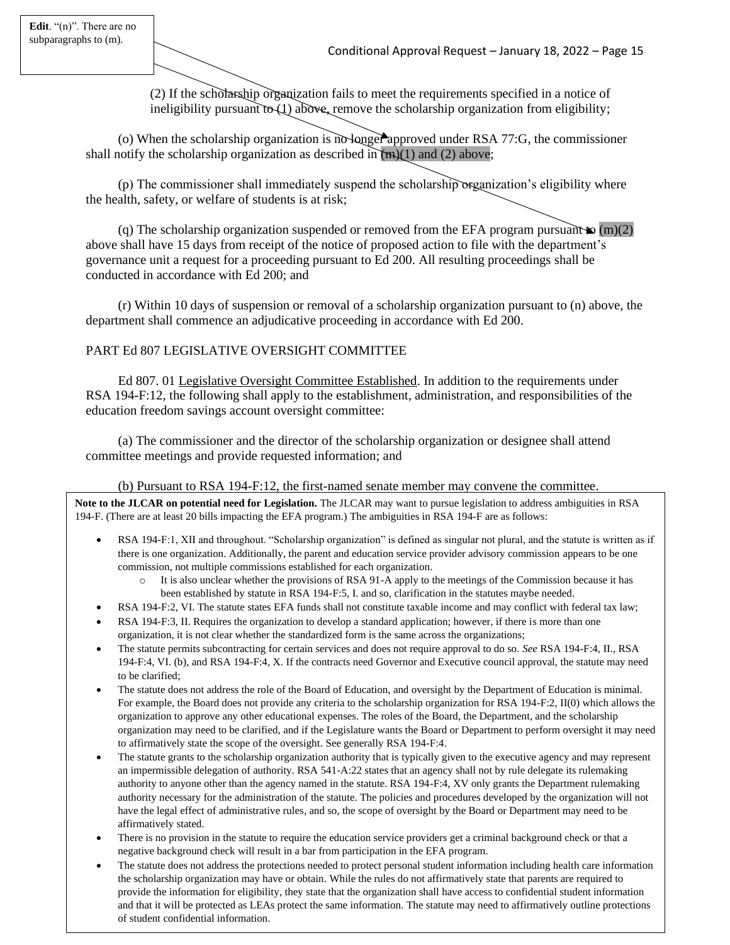(2) If the scholarship organization fails to meet the requirements specified in a notice of ineligibility pursuant to (1) above, remove the scholarship organization from eligibility;

(o) When the scholarship organization is no longer approved under RSA 77:G, the commissioner shall notify the scholarship organization as described in  $(m)(1)$  and (2) above;

(p) The commissioner shall immediately suspend the scholarship organization's eligibility where the health, safety, or welfare of students is at risk;

(q) The scholarship organization suspended or removed from the EFA program pursuant  $\omega$  (m)(2) above shall have 15 days from receipt of the notice of proposed action to file with the department's governance unit a request for a proceeding pursuant to Ed 200. All resulting proceedings shall be conducted in accordance with Ed 200; and

(r) Within 10 days of suspension or removal of a scholarship organization pursuant to (n) above, the department shall commence an adjudicative proceeding in accordance with Ed 200.

## PART Ed 807 LEGISLATIVE OVERSIGHT COMMITTEE

Ed 807. 01 Legislative Oversight Committee Established. In addition to the requirements under RSA 194-F:12, the following shall apply to the establishment, administration, and responsibilities of the education freedom savings account oversight committee:

(a) The commissioner and the director of the scholarship organization or designee shall attend committee meetings and provide requested information; and

### (b) Pursuant to RSA 194-F:12, the first-named senate member may convene the committee.

**Note to the JLCAR on potential need for Legislation.** The JLCAR may want to pursue legislation to address ambiguities in RSA 194-F. (There are at least 20 bills impacting the EFA program.) The ambiguities in RSA 194-F are as follows:

- RSA 194-F:1, XII and throughout. "Scholarship organization" is defined as singular not plural, and the statute is written as if there is one organization. Additionally, the parent and education service provider advisory commission appears to be one commission, not multiple commissions established for each organization.
	- o It is also unclear whether the provisions of RSA 91-A apply to the meetings of the Commission because it has been established by statute in RSA 194-F:5, I. and so, clarification in the statutes maybe needed.
- RSA 194-F:2, VI. The statute states EFA funds shall not constitute taxable income and may conflict with federal tax law;
- RSA 194-F:3, II. Requires the organization to develop a standard application; however, if there is more than one organization, it is not clear whether the standardized form is the same across the organizations;
- The statute permits subcontracting for certain services and does not require approval to do so. *See* RSA 194-F:4, II., RSA 194-F:4, VI. (b), and RSA 194-F:4, X. If the contracts need Governor and Executive council approval, the statute may need to be clarified;
- The statute does not address the role of the Board of Education, and oversight by the Department of Education is minimal. For example, the Board does not provide any criteria to the scholarship organization for RSA 194-F:2, II(0) which allows the organization to approve any other educational expenses. The roles of the Board, the Department, and the scholarship organization may need to be clarified, and if the Legislature wants the Board or Department to perform oversight it may need to affirmatively state the scope of the oversight. See generally RSA 194-F:4.
- The statute grants to the scholarship organization authority that is typically given to the executive agency and may represent an impermissible delegation of authority. RSA 541-A:22 states that an agency shall not by rule delegate its rulemaking authority to anyone other than the agency named in the statute. RSA 194-F:4, XV only grants the Department rulemaking authority necessary for the administration of the statute. The policies and procedures developed by the organization will not have the legal effect of administrative rules, and so, the scope of oversight by the Board or Department may need to be affirmatively stated.
- There is no provision in the statute to require the education service providers get a criminal background check or that a negative background check will result in a bar from participation in the EFA program.
- The statute does not address the protections needed to protect personal student information including health care information the scholarship organization may have or obtain. While the rules do not affirmatively state that parents are required to provide the information for eligibility, they state that the organization shall have access to confidential student information and that it will be protected as LEAs protect the same information. The statute may need to affirmatively outline protections of student confidential information.